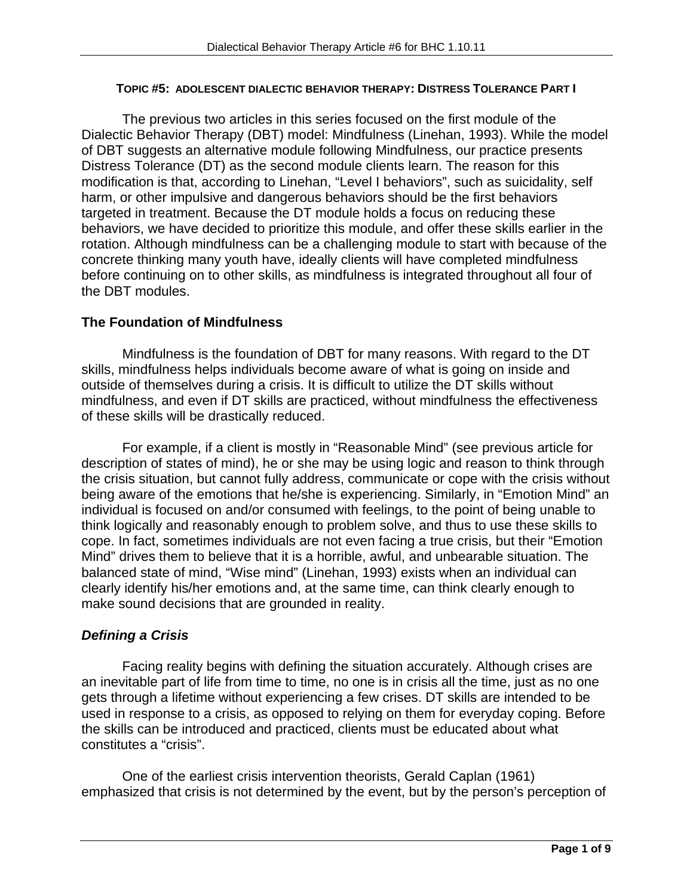#### **TOPIC #5: ADOLESCENT DIALECTIC BEHAVIOR THERAPY: DISTRESS TOLERANCE PART I**

The previous two articles in this series focused on the first module of the Dialectic Behavior Therapy (DBT) model: Mindfulness (Linehan, 1993). While the model of DBT suggests an alternative module following Mindfulness, our practice presents Distress Tolerance (DT) as the second module clients learn. The reason for this modification is that, according to Linehan, "Level I behaviors", such as suicidality, self harm, or other impulsive and dangerous behaviors should be the first behaviors targeted in treatment. Because the DT module holds a focus on reducing these behaviors, we have decided to prioritize this module, and offer these skills earlier in the rotation. Although mindfulness can be a challenging module to start with because of the concrete thinking many youth have, ideally clients will have completed mindfulness before continuing on to other skills, as mindfulness is integrated throughout all four of the DBT modules.

## **The Foundation of Mindfulness**

Mindfulness is the foundation of DBT for many reasons. With regard to the DT skills, mindfulness helps individuals become aware of what is going on inside and outside of themselves during a crisis. It is difficult to utilize the DT skills without mindfulness, and even if DT skills are practiced, without mindfulness the effectiveness of these skills will be drastically reduced.

For example, if a client is mostly in "Reasonable Mind" (see previous article for description of states of mind), he or she may be using logic and reason to think through the crisis situation, but cannot fully address, communicate or cope with the crisis without being aware of the emotions that he/she is experiencing. Similarly, in "Emotion Mind" an individual is focused on and/or consumed with feelings, to the point of being unable to think logically and reasonably enough to problem solve, and thus to use these skills to cope. In fact, sometimes individuals are not even facing a true crisis, but their "Emotion Mind" drives them to believe that it is a horrible, awful, and unbearable situation. The balanced state of mind, "Wise mind" (Linehan, 1993) exists when an individual can clearly identify his/her emotions and, at the same time, can think clearly enough to make sound decisions that are grounded in reality.

# *Defining a Crisis*

Facing reality begins with defining the situation accurately. Although crises are an inevitable part of life from time to time, no one is in crisis all the time, just as no one gets through a lifetime without experiencing a few crises. DT skills are intended to be used in response to a crisis, as opposed to relying on them for everyday coping. Before the skills can be introduced and practiced, clients must be educated about what constitutes a "crisis".

One of the earliest crisis intervention theorists, Gerald Caplan (1961) emphasized that crisis is not determined by the event, but by the person's perception of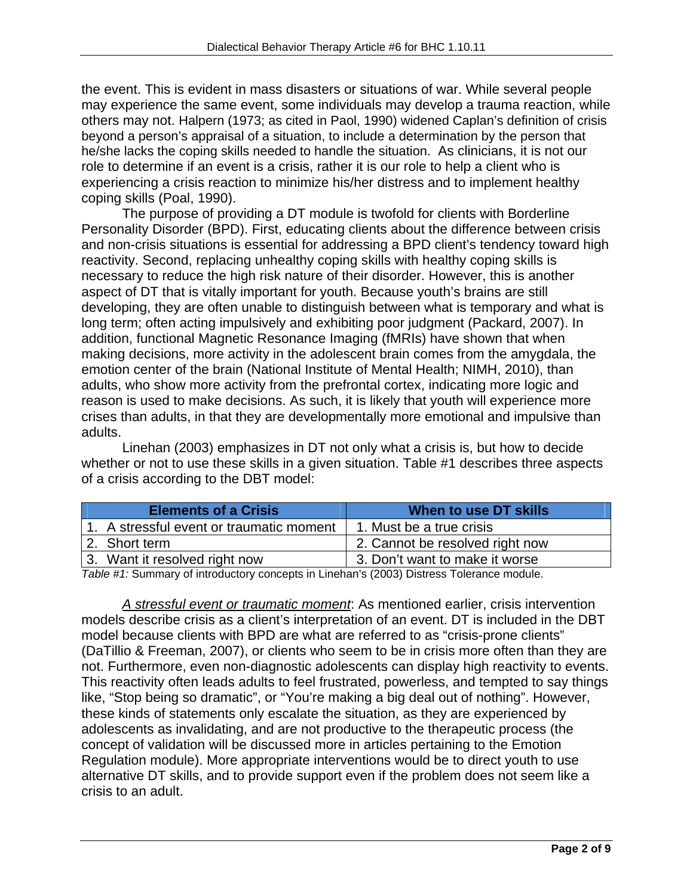the event. This is evident in mass disasters or situations of war. While several people may experience the same event, some individuals may develop a trauma reaction, while others may not. Halpern (1973; as cited in Paol, 1990) widened Caplan's definition of crisis beyond a person's appraisal of a situation, to include a determination by the person that he/she lacks the coping skills needed to handle the situation. As clinicians, it is not our role to determine if an event is a crisis, rather it is our role to help a client who is experiencing a crisis reaction to minimize his/her distress and to implement healthy coping skills (Poal, 1990).

The purpose of providing a DT module is twofold for clients with Borderline Personality Disorder (BPD). First, educating clients about the difference between crisis and non-crisis situations is essential for addressing a BPD client's tendency toward high reactivity. Second, replacing unhealthy coping skills with healthy coping skills is necessary to reduce the high risk nature of their disorder. However, this is another aspect of DT that is vitally important for youth. Because youth's brains are still developing, they are often unable to distinguish between what is temporary and what is long term; often acting impulsively and exhibiting poor judgment (Packard, 2007). In addition, functional Magnetic Resonance Imaging (fMRIs) have shown that when making decisions, more activity in the adolescent brain comes from the amygdala, the emotion center of the brain (National Institute of Mental Health; NIMH, 2010), than adults, who show more activity from the prefrontal cortex, indicating more logic and reason is used to make decisions. As such, it is likely that youth will experience more crises than adults, in that they are developmentally more emotional and impulsive than adults.

Linehan (2003) emphasizes in DT not only what a crisis is, but how to decide whether or not to use these skills in a given situation. Table #1 describes three aspects of a crisis according to the DBT model:

|  | <b>Elements of a Crisis</b>              | When to use DT skills           |  |  |  |  |  |
|--|------------------------------------------|---------------------------------|--|--|--|--|--|
|  | 1. A stressful event or traumatic moment | 1. Must be a true crisis        |  |  |  |  |  |
|  | 2. Short term                            | 2. Cannot be resolved right now |  |  |  |  |  |
|  | 3. Want it resolved right now            | 3. Don't want to make it worse  |  |  |  |  |  |
|  |                                          |                                 |  |  |  |  |  |

*Table #1:* Summary of introductory concepts in Linehan's (2003) Distress Tolerance module.

*A stressful event or traumatic moment*: As mentioned earlier, crisis intervention models describe crisis as a client's interpretation of an event. DT is included in the DBT model because clients with BPD are what are referred to as "crisis-prone clients" (DaTillio & Freeman, 2007), or clients who seem to be in crisis more often than they are not. Furthermore, even non-diagnostic adolescents can display high reactivity to events. This reactivity often leads adults to feel frustrated, powerless, and tempted to say things like, "Stop being so dramatic", or "You're making a big deal out of nothing". However, these kinds of statements only escalate the situation, as they are experienced by adolescents as invalidating, and are not productive to the therapeutic process (the concept of validation will be discussed more in articles pertaining to the Emotion Regulation module). More appropriate interventions would be to direct youth to use alternative DT skills, and to provide support even if the problem does not seem like a crisis to an adult.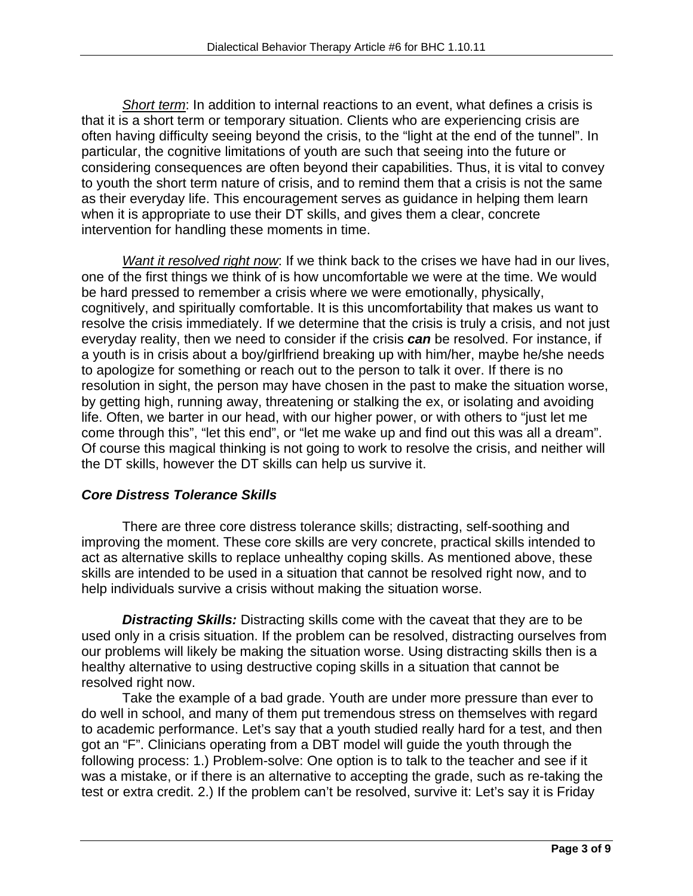*Short term*: In addition to internal reactions to an event, what defines a crisis is that it is a short term or temporary situation. Clients who are experiencing crisis are often having difficulty seeing beyond the crisis, to the "light at the end of the tunnel". In particular, the cognitive limitations of youth are such that seeing into the future or considering consequences are often beyond their capabilities. Thus, it is vital to convey to youth the short term nature of crisis, and to remind them that a crisis is not the same as their everyday life. This encouragement serves as guidance in helping them learn when it is appropriate to use their DT skills, and gives them a clear, concrete intervention for handling these moments in time.

*Want it resolved right now*: If we think back to the crises we have had in our lives, one of the first things we think of is how uncomfortable we were at the time. We would be hard pressed to remember a crisis where we were emotionally, physically, cognitively, and spiritually comfortable. It is this uncomfortability that makes us want to resolve the crisis immediately. If we determine that the crisis is truly a crisis, and not just everyday reality, then we need to consider if the crisis *can* be resolved. For instance, if a youth is in crisis about a boy/girlfriend breaking up with him/her, maybe he/she needs to apologize for something or reach out to the person to talk it over. If there is no resolution in sight, the person may have chosen in the past to make the situation worse, by getting high, running away, threatening or stalking the ex, or isolating and avoiding life. Often, we barter in our head, with our higher power, or with others to "just let me come through this", "let this end", or "let me wake up and find out this was all a dream". Of course this magical thinking is not going to work to resolve the crisis, and neither will the DT skills, however the DT skills can help us survive it.

# *Core Distress Tolerance Skills*

 There are three core distress tolerance skills; distracting, self-soothing and improving the moment. These core skills are very concrete, practical skills intended to act as alternative skills to replace unhealthy coping skills. As mentioned above, these skills are intended to be used in a situation that cannot be resolved right now, and to help individuals survive a crisis without making the situation worse.

*Distracting Skills:* Distracting skills come with the caveat that they are to be used only in a crisis situation. If the problem can be resolved, distracting ourselves from our problems will likely be making the situation worse. Using distracting skills then is a healthy alternative to using destructive coping skills in a situation that cannot be resolved right now.

 Take the example of a bad grade. Youth are under more pressure than ever to do well in school, and many of them put tremendous stress on themselves with regard to academic performance. Let's say that a youth studied really hard for a test, and then got an "F". Clinicians operating from a DBT model will guide the youth through the following process: 1.) Problem-solve: One option is to talk to the teacher and see if it was a mistake, or if there is an alternative to accepting the grade, such as re-taking the test or extra credit. 2.) If the problem can't be resolved, survive it: Let's say it is Friday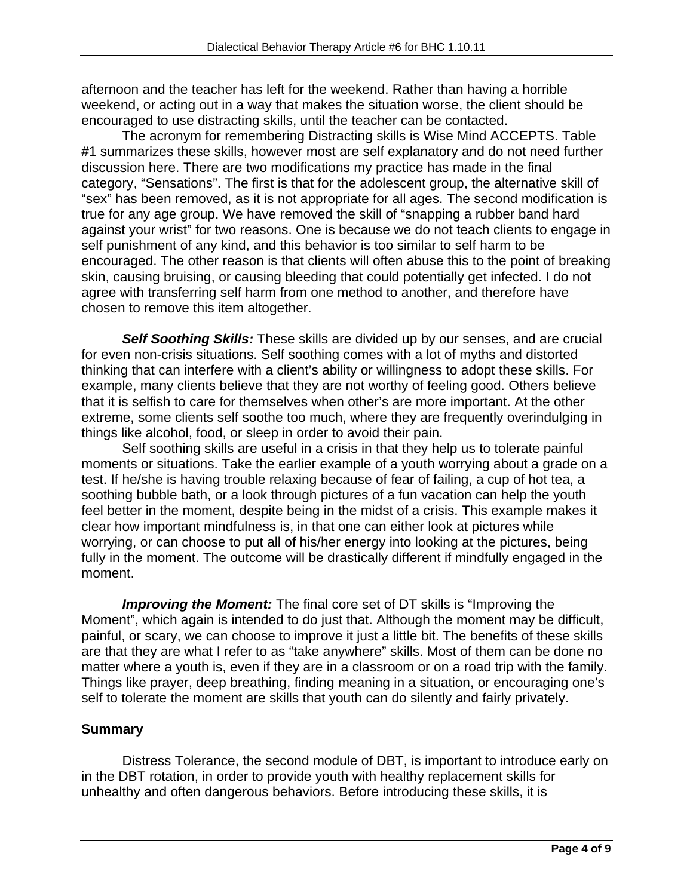afternoon and the teacher has left for the weekend. Rather than having a horrible weekend, or acting out in a way that makes the situation worse, the client should be encouraged to use distracting skills, until the teacher can be contacted.

 The acronym for remembering Distracting skills is Wise Mind ACCEPTS. Table #1 summarizes these skills, however most are self explanatory and do not need further discussion here. There are two modifications my practice has made in the final category, "Sensations". The first is that for the adolescent group, the alternative skill of "sex" has been removed, as it is not appropriate for all ages. The second modification is true for any age group. We have removed the skill of "snapping a rubber band hard against your wrist" for two reasons. One is because we do not teach clients to engage in self punishment of any kind, and this behavior is too similar to self harm to be encouraged. The other reason is that clients will often abuse this to the point of breaking skin, causing bruising, or causing bleeding that could potentially get infected. I do not agree with transferring self harm from one method to another, and therefore have chosen to remove this item altogether.

*Self Soothing Skills:* These skills are divided up by our senses, and are crucial for even non-crisis situations. Self soothing comes with a lot of myths and distorted thinking that can interfere with a client's ability or willingness to adopt these skills. For example, many clients believe that they are not worthy of feeling good. Others believe that it is selfish to care for themselves when other's are more important. At the other extreme, some clients self soothe too much, where they are frequently overindulging in things like alcohol, food, or sleep in order to avoid their pain.

 Self soothing skills are useful in a crisis in that they help us to tolerate painful moments or situations. Take the earlier example of a youth worrying about a grade on a test. If he/she is having trouble relaxing because of fear of failing, a cup of hot tea, a soothing bubble bath, or a look through pictures of a fun vacation can help the youth feel better in the moment, despite being in the midst of a crisis. This example makes it clear how important mindfulness is, in that one can either look at pictures while worrying, or can choose to put all of his/her energy into looking at the pictures, being fully in the moment. The outcome will be drastically different if mindfully engaged in the moment.

**Improving the Moment:** The final core set of DT skills is "Improving the Moment", which again is intended to do just that. Although the moment may be difficult, painful, or scary, we can choose to improve it just a little bit. The benefits of these skills are that they are what I refer to as "take anywhere" skills. Most of them can be done no matter where a youth is, even if they are in a classroom or on a road trip with the family. Things like prayer, deep breathing, finding meaning in a situation, or encouraging one's self to tolerate the moment are skills that youth can do silently and fairly privately.

#### **Summary**

Distress Tolerance, the second module of DBT, is important to introduce early on in the DBT rotation, in order to provide youth with healthy replacement skills for unhealthy and often dangerous behaviors. Before introducing these skills, it is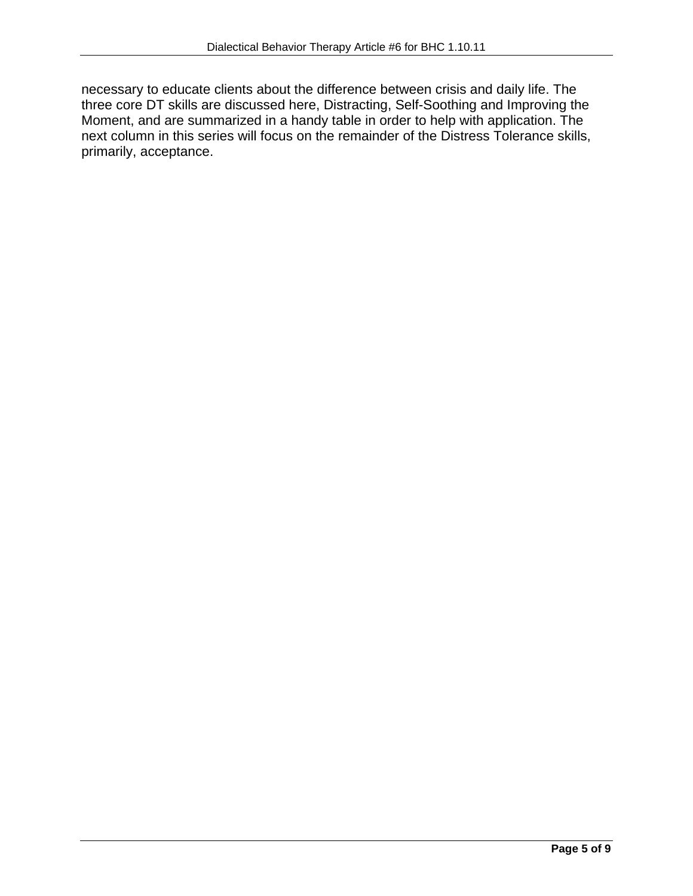necessary to educate clients about the difference between crisis and daily life. The three core DT skills are discussed here, Distracting, Self-Soothing and Improving the Moment, and are summarized in a handy table in order to help with application. The next column in this series will focus on the remainder of the Distress Tolerance skills, primarily, acceptance.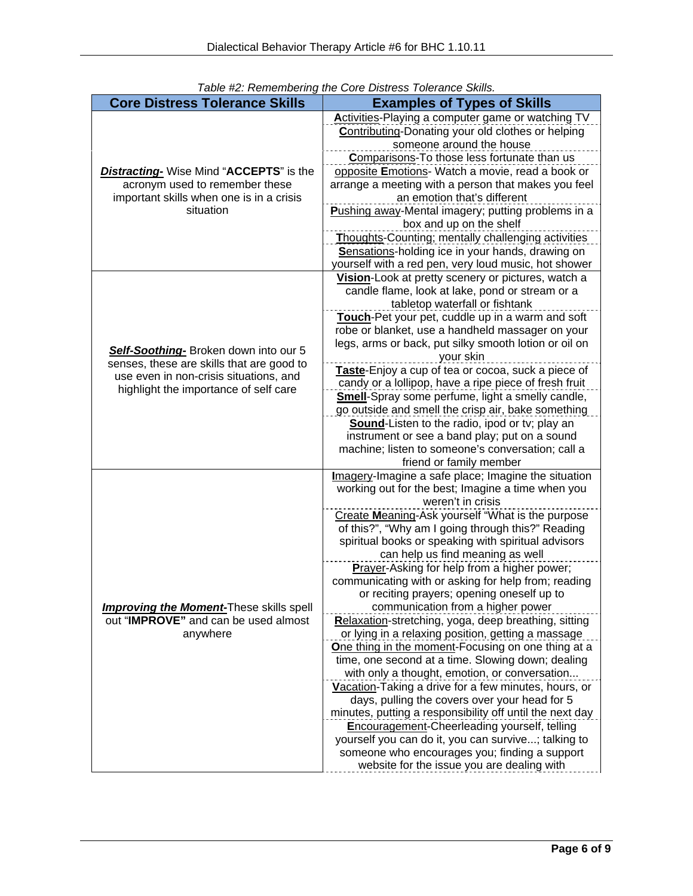|                                                | Table #2. Remembering the Core Distress Tolerance Skills.                                                 |  |  |  |
|------------------------------------------------|-----------------------------------------------------------------------------------------------------------|--|--|--|
| <b>Core Distress Tolerance Skills</b>          | <b>Examples of Types of Skills</b>                                                                        |  |  |  |
|                                                | <b>Activities-Playing a computer game or watching TV</b>                                                  |  |  |  |
|                                                | <b>Contributing-Donating your old clothes or helping</b>                                                  |  |  |  |
|                                                | someone around the house                                                                                  |  |  |  |
|                                                | Comparisons-To those less fortunate than us                                                               |  |  |  |
| <b>Distracting-</b> Wise Mind "ACCEPTS" is the | opposite Emotions- Watch a movie, read a book or                                                          |  |  |  |
| acronym used to remember these                 | arrange a meeting with a person that makes you feel                                                       |  |  |  |
| important skills when one is in a crisis       | an emotion that's different                                                                               |  |  |  |
| situation                                      | Pushing away-Mental imagery; putting problems in a<br>box and up on the shelf                             |  |  |  |
|                                                | Thoughts-Counting; mentally challenging activities                                                        |  |  |  |
|                                                | Sensations-holding ice in your hands, drawing on                                                          |  |  |  |
|                                                | yourself with a red pen, very loud music, hot shower                                                      |  |  |  |
|                                                | Vision-Look at pretty scenery or pictures, watch a                                                        |  |  |  |
|                                                | candle flame, look at lake, pond or stream or a                                                           |  |  |  |
|                                                | tabletop waterfall or fishtank                                                                            |  |  |  |
|                                                | Touch-Pet your pet, cuddle up in a warm and soft                                                          |  |  |  |
|                                                | robe or blanket, use a handheld massager on your                                                          |  |  |  |
|                                                | legs, arms or back, put silky smooth lotion or oil on                                                     |  |  |  |
| Self-Soothing-Broken down into our 5           | your skin                                                                                                 |  |  |  |
| senses, these are skills that are good to      | Taste-Enjoy a cup of tea or cocoa, suck a piece of                                                        |  |  |  |
| use even in non-crisis situations, and         | candy or a lollipop, have a ripe piece of fresh fruit                                                     |  |  |  |
| highlight the importance of self care          | <b>Smell-Spray some perfume, light a smelly candle,</b>                                                   |  |  |  |
|                                                | go outside and smell the crisp air, bake something                                                        |  |  |  |
|                                                | Sound-Listen to the radio, ipod or tv; play an                                                            |  |  |  |
|                                                | instrument or see a band play; put on a sound                                                             |  |  |  |
|                                                | machine; listen to someone's conversation; call a                                                         |  |  |  |
|                                                | friend or family member                                                                                   |  |  |  |
|                                                | Imagery-Imagine a safe place; Imagine the situation                                                       |  |  |  |
|                                                | working out for the best; Imagine a time when you                                                         |  |  |  |
|                                                | weren't in crisis                                                                                         |  |  |  |
|                                                | Create Meaning-Ask yourself "What is the purpose                                                          |  |  |  |
|                                                | of this?", "Why am I going through this?" Reading                                                         |  |  |  |
|                                                | spiritual books or speaking with spiritual advisors                                                       |  |  |  |
|                                                | can help us find meaning as well                                                                          |  |  |  |
|                                                | <b>Prayer-Asking for help from a higher power;</b>                                                        |  |  |  |
|                                                | communicating with or asking for help from; reading                                                       |  |  |  |
|                                                | or reciting prayers; opening oneself up to                                                                |  |  |  |
| <b>Improving the Moment-These skills spell</b> | communication from a higher power                                                                         |  |  |  |
| out "IMPROVE" and can be used almost           | Relaxation-stretching, yoga, deep breathing, sitting                                                      |  |  |  |
| anywhere                                       | or lying in a relaxing position, getting a massage                                                        |  |  |  |
|                                                | One thing in the moment-Focusing on one thing at a                                                        |  |  |  |
|                                                | time, one second at a time. Slowing down; dealing                                                         |  |  |  |
|                                                | with only a thought, emotion, or conversation                                                             |  |  |  |
|                                                | Vacation-Taking a drive for a few minutes, hours, or                                                      |  |  |  |
|                                                | days, pulling the covers over your head for 5<br>minutes, putting a responsibility off until the next day |  |  |  |
|                                                |                                                                                                           |  |  |  |
|                                                |                                                                                                           |  |  |  |
|                                                | <b>Encouragement-Cheerleading yourself, telling</b>                                                       |  |  |  |
|                                                | yourself you can do it, you can survive; talking to<br>someone who encourages you; finding a support      |  |  |  |

|  |  |  | Table #2: Remembering the Core Distress Tolerance Skills. |  |
|--|--|--|-----------------------------------------------------------|--|
|  |  |  |                                                           |  |
|  |  |  |                                                           |  |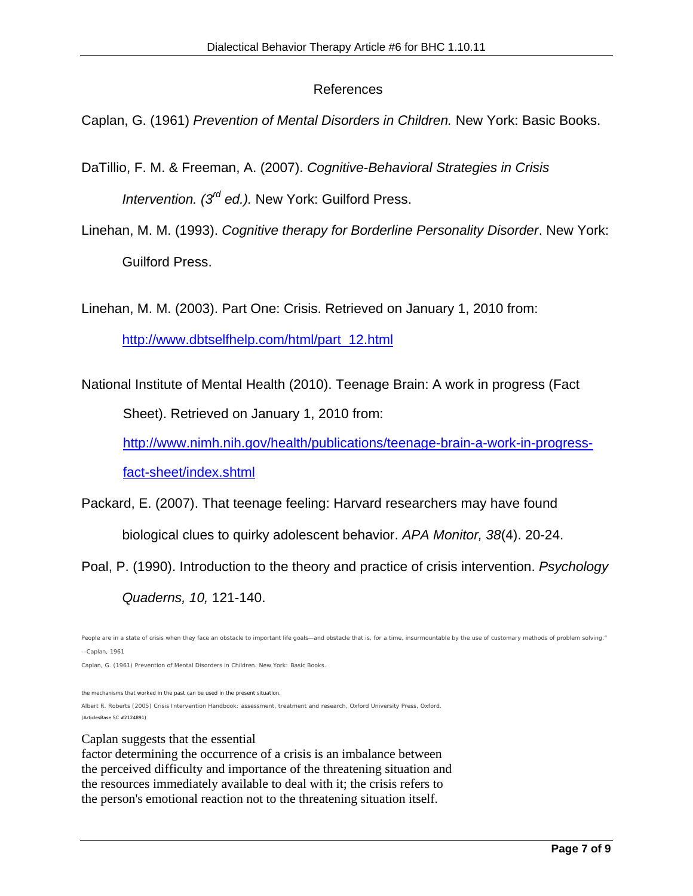### References

Caplan, G. (1961) *Prevention of Mental Disorders in Children.* New York: Basic Books.

- DaTillio, F. M. & Freeman, A. (2007). *Cognitive-Behavioral Strategies in Crisis Intervention. (3rd ed.).* New York: Guilford Press.
- Linehan, M. M. (1993). *Cognitive therapy for Borderline Personality Disorder*. New York: Guilford Press.

Linehan, M. M. (2003). Part One: Crisis. Retrieved on January 1, 2010 from:

http://www.dbtselfhelp.com/html/part\_12.html

National Institute of Mental Health (2010). Teenage Brain: A work in progress (Fact

Sheet). Retrieved on January 1, 2010 from:

http://www.nimh.nih.gov/health/publications/teenage-brain-a-work-in-progress-

fact-sheet/index.shtml

Packard, E. (2007). That teenage feeling: Harvard researchers may have found

biological clues to quirky adolescent behavior. *APA Monitor, 38*(4). 20-24.

Poal, P. (1990). Introduction to the theory and practice of crisis intervention. *Psychology* 

*Quaderns, 10,* 121-140.

the mechanisms that worked in the past can be used in the present situation.

Albert R. Roberts (2005) Crisis Intervention Handbook: assessment, treatment and research, Oxford University Press, Oxford. (ArticlesBase SC #2124891)

#### Caplan suggests that the essential

factor determining the occurrence of a crisis is an imbalance between the perceived difficulty and importance of the threatening situation and the resources immediately available to deal with it; the crisis refers to the person's emotional reaction not to the threatening situation itself.

People are in a state of crisis when they face an obstacle to important life goals—and obstacle that is, for a time, insurmountable by the use of customary methods of problem solving." --Caplan, 1961 Caplan, G. (1961) *Prevention of Mental Disorders in Children.* New York: Basic Books.